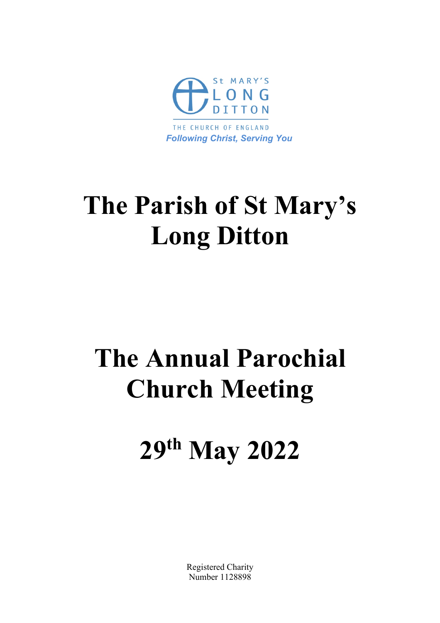

# **The Parish of St Mary's Long Ditton**

# **The Annual Parochial Church Meeting**

# **29th May 2022**

Registered Charity Number 1128898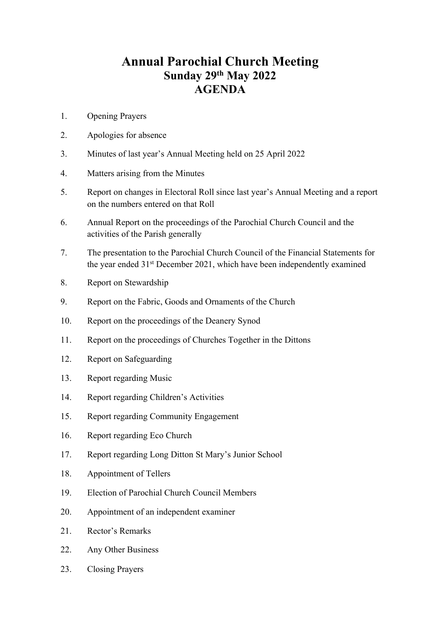## **Annual Parochial Church Meeting Sunday 29th May 2022 AGENDA**

- 1. Opening Prayers
- 2. Apologies for absence
- 3. Minutes of last year's Annual Meeting held on 25 April 2022
- 4. Matters arising from the Minutes
- 5. Report on changes in Electoral Roll since last year's Annual Meeting and a report on the numbers entered on that Roll
- 6. Annual Report on the proceedings of the Parochial Church Council and the activities of the Parish generally
- 7. The presentation to the Parochial Church Council of the Financial Statements for the year ended 31st December 2021, which have been independently examined
- 8. Report on Stewardship
- 9. Report on the Fabric, Goods and Ornaments of the Church
- 10. Report on the proceedings of the Deanery Synod
- 11. Report on the proceedings of Churches Together in the Dittons
- 12. Report on Safeguarding
- 13. Report regarding Music
- 14. Report regarding Children's Activities
- 15. Report regarding Community Engagement
- 16. Report regarding Eco Church
- 17. Report regarding Long Ditton St Mary's Junior School
- 18. Appointment of Tellers
- 19. Election of Parochial Church Council Members
- 20. Appointment of an independent examiner
- 21. Rector's Remarks
- 22. Any Other Business
- 23. Closing Prayers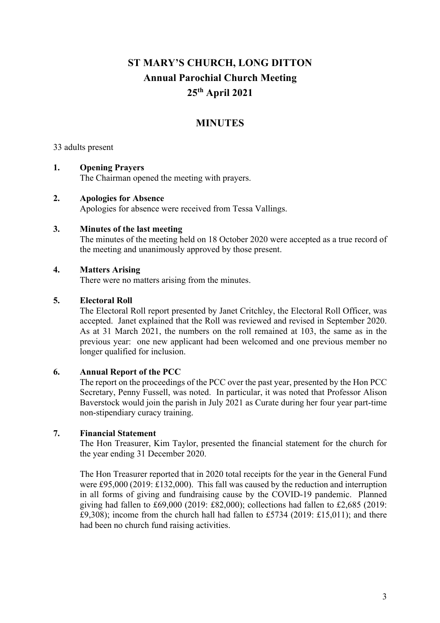## **ST MARY'S CHURCH, LONG DITTON Annual Parochial Church Meeting 25th April 2021**

## **MINUTES**

33 adults present

#### **1. Opening Prayers**

The Chairman opened the meeting with prayers.

#### **2. Apologies for Absence**

Apologies for absence were received from Tessa Vallings.

#### **3. Minutes of the last meeting**

The minutes of the meeting held on 18 October 2020 were accepted as a true record of the meeting and unanimously approved by those present.

#### **4. Matters Arising**

There were no matters arising from the minutes.

#### **5. Electoral Roll**

The Electoral Roll report presented by Janet Critchley, the Electoral Roll Officer, was accepted. Janet explained that the Roll was reviewed and revised in September 2020. As at 31 March 2021, the numbers on the roll remained at 103, the same as in the previous year: one new applicant had been welcomed and one previous member no longer qualified for inclusion.

#### **6. Annual Report of the PCC**

The report on the proceedings of the PCC over the past year, presented by the Hon PCC Secretary, Penny Fussell, was noted. In particular, it was noted that Professor Alison Baverstock would join the parish in July 2021 as Curate during her four year part-time non-stipendiary curacy training.

#### **7. Financial Statement**

The Hon Treasurer, Kim Taylor, presented the financial statement for the church for the year ending 31 December 2020.

The Hon Treasurer reported that in 2020 total receipts for the year in the General Fund were £95,000 (2019: £132,000). This fall was caused by the reduction and interruption in all forms of giving and fundraising cause by the COVID-19 pandemic. Planned giving had fallen to  $£69,000$  (2019:  $£82,000$ ); collections had fallen to  $£2,685$  (2019: £9,308); income from the church hall had fallen to £5734 (2019: £15,011); and there had been no church fund raising activities.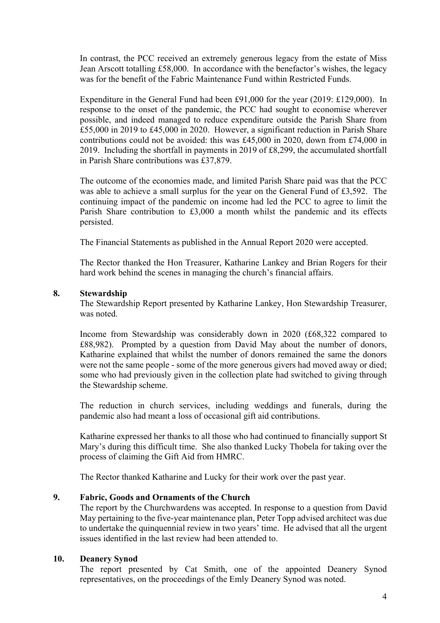In contrast, the PCC received an extremely generous legacy from the estate of Miss Jean Arscott totalling £58,000. In accordance with the benefactor's wishes, the legacy was for the benefit of the Fabric Maintenance Fund within Restricted Funds.

Expenditure in the General Fund had been £91,000 for the year (2019: £129,000). In response to the onset of the pandemic, the PCC had sought to economise wherever possible, and indeed managed to reduce expenditure outside the Parish Share from £55,000 in 2019 to £45,000 in 2020. However, a significant reduction in Parish Share contributions could not be avoided: this was £45,000 in 2020, down from £74,000 in 2019. Including the shortfall in payments in 2019 of £8,299, the accumulated shortfall in Parish Share contributions was £37,879.

The outcome of the economies made, and limited Parish Share paid was that the PCC was able to achieve a small surplus for the year on the General Fund of £3,592. The continuing impact of the pandemic on income had led the PCC to agree to limit the Parish Share contribution to £3,000 a month whilst the pandemic and its effects persisted.

The Financial Statements as published in the Annual Report 2020 were accepted.

The Rector thanked the Hon Treasurer, Katharine Lankey and Brian Rogers for their hard work behind the scenes in managing the church's financial affairs.

#### **8. Stewardship**

The Stewardship Report presented by Katharine Lankey, Hon Stewardship Treasurer, was noted.

Income from Stewardship was considerably down in 2020 (£68,322 compared to £88,982). Prompted by a question from David May about the number of donors, Katharine explained that whilst the number of donors remained the same the donors were not the same people - some of the more generous givers had moved away or died; some who had previously given in the collection plate had switched to giving through the Stewardship scheme.

The reduction in church services, including weddings and funerals, during the pandemic also had meant a loss of occasional gift aid contributions.

Katharine expressed her thanks to all those who had continued to financially support St Mary's during this difficult time. She also thanked Lucky Thobela for taking over the process of claiming the Gift Aid from HMRC.

The Rector thanked Katharine and Lucky for their work over the past year.

#### **9. Fabric, Goods and Ornaments of the Church**

The report by the Churchwardens was accepted. In response to a question from David May pertaining to the five-year maintenance plan, Peter Topp advised architect was due to undertake the quinquennial review in two years' time. He advised that all the urgent issues identified in the last review had been attended to.

#### **10. Deanery Synod**

The report presented by Cat Smith, one of the appointed Deanery Synod representatives, on the proceedings of the Emly Deanery Synod was noted.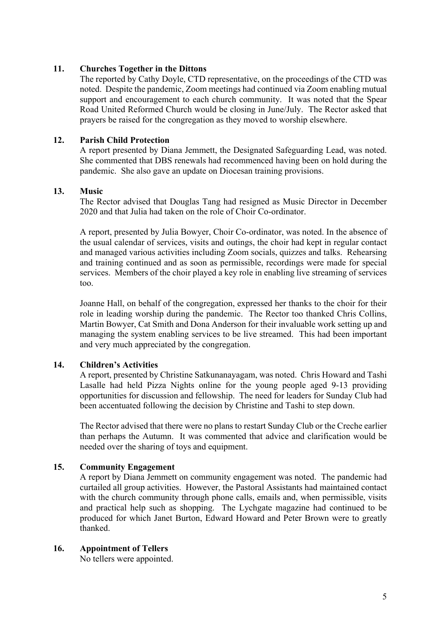#### **11. Churches Together in the Dittons**

The reported by Cathy Doyle, CTD representative, on the proceedings of the CTD was noted. Despite the pandemic, Zoom meetings had continued via Zoom enabling mutual support and encouragement to each church community. It was noted that the Spear Road United Reformed Church would be closing in June/July. The Rector asked that prayers be raised for the congregation as they moved to worship elsewhere.

#### **12. Parish Child Protection**

A report presented by Diana Jemmett, the Designated Safeguarding Lead, was noted. She commented that DBS renewals had recommenced having been on hold during the pandemic. She also gave an update on Diocesan training provisions.

#### **13. Music**

The Rector advised that Douglas Tang had resigned as Music Director in December 2020 and that Julia had taken on the role of Choir Co-ordinator.

A report, presented by Julia Bowyer, Choir Co-ordinator, was noted. In the absence of the usual calendar of services, visits and outings, the choir had kept in regular contact and managed various activities including Zoom socials, quizzes and talks. Rehearsing and training continued and as soon as permissible, recordings were made for special services. Members of the choir played a key role in enabling live streaming of services too.

Joanne Hall, on behalf of the congregation, expressed her thanks to the choir for their role in leading worship during the pandemic. The Rector too thanked Chris Collins, Martin Bowyer, Cat Smith and Dona Anderson for their invaluable work setting up and managing the system enabling services to be live streamed. This had been important and very much appreciated by the congregation.

#### **14. Children's Activities**

A report, presented by Christine Satkunanayagam, was noted. Chris Howard and Tashi Lasalle had held Pizza Nights online for the young people aged 9-13 providing opportunities for discussion and fellowship. The need for leaders for Sunday Club had been accentuated following the decision by Christine and Tashi to step down.

The Rector advised that there were no plans to restart Sunday Club or the Creche earlier than perhaps the Autumn. It was commented that advice and clarification would be needed over the sharing of toys and equipment.

#### **15. Community Engagement**

A report by Diana Jemmett on community engagement was noted. The pandemic had curtailed all group activities. However, the Pastoral Assistants had maintained contact with the church community through phone calls, emails and, when permissible, visits and practical help such as shopping. The Lychgate magazine had continued to be produced for which Janet Burton, Edward Howard and Peter Brown were to greatly thanked.

#### **16. Appointment of Tellers**

No tellers were appointed.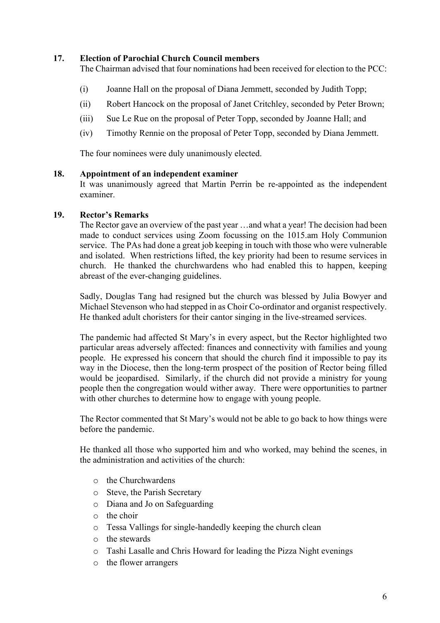#### **17. Election of Parochial Church Council members**

The Chairman advised that four nominations had been received for election to the PCC:

- (i) Joanne Hall on the proposal of Diana Jemmett, seconded by Judith Topp;
- (ii) Robert Hancock on the proposal of Janet Critchley, seconded by Peter Brown;
- (iii) Sue Le Rue on the proposal of Peter Topp, seconded by Joanne Hall; and
- (iv) Timothy Rennie on the proposal of Peter Topp, seconded by Diana Jemmett.

The four nominees were duly unanimously elected.

#### **18. Appointment of an independent examiner**

It was unanimously agreed that Martin Perrin be re-appointed as the independent examiner.

#### **19. Rector's Remarks**

The Rector gave an overview of the past year …and what a year! The decision had been made to conduct services using Zoom focussing on the 1015.am Holy Communion service. The PAs had done a great job keeping in touch with those who were vulnerable and isolated. When restrictions lifted, the key priority had been to resume services in church. He thanked the churchwardens who had enabled this to happen, keeping abreast of the ever-changing guidelines.

Sadly, Douglas Tang had resigned but the church was blessed by Julia Bowyer and Michael Stevenson who had stepped in as Choir Co-ordinator and organist respectively. He thanked adult choristers for their cantor singing in the live-streamed services.

The pandemic had affected St Mary's in every aspect, but the Rector highlighted two particular areas adversely affected: finances and connectivity with families and young people. He expressed his concern that should the church find it impossible to pay its way in the Diocese, then the long-term prospect of the position of Rector being filled would be jeopardised. Similarly, if the church did not provide a ministry for young people then the congregation would wither away. There were opportunities to partner with other churches to determine how to engage with young people.

The Rector commented that St Mary's would not be able to go back to how things were before the pandemic.

He thanked all those who supported him and who worked, may behind the scenes, in the administration and activities of the church:

- o the Churchwardens
- o Steve, the Parish Secretary
- o Diana and Jo on Safeguarding
- $\circ$  the choir
- o Tessa Vallings for single-handedly keeping the church clean
- o the stewards
- o Tashi Lasalle and Chris Howard for leading the Pizza Night evenings
- o the flower arrangers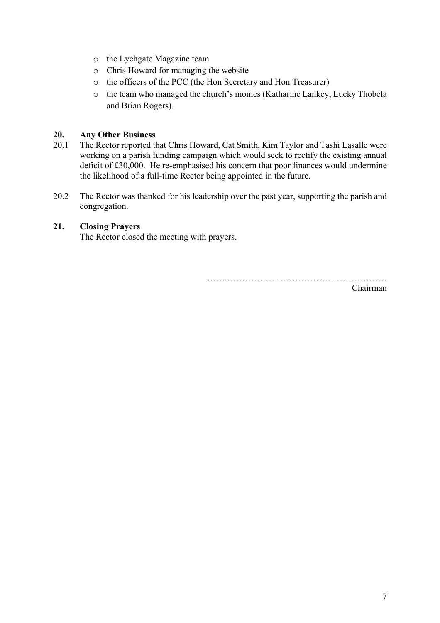- o the Lychgate Magazine team
- o Chris Howard for managing the website
- o the officers of the PCC (the Hon Secretary and Hon Treasurer)
- o the team who managed the church's monies (Katharine Lankey, Lucky Thobela and Brian Rogers).

#### **20. Any Other Business**

- 20.1 The Rector reported that Chris Howard, Cat Smith, Kim Taylor and Tashi Lasalle were working on a parish funding campaign which would seek to rectify the existing annual deficit of £30,000. He re-emphasised his concern that poor finances would undermine the likelihood of a full-time Rector being appointed in the future.
- 20.2 The Rector was thanked for his leadership over the past year, supporting the parish and congregation.

#### **21. Closing Prayers**

The Rector closed the meeting with prayers.

…….………………………………………………

Chairman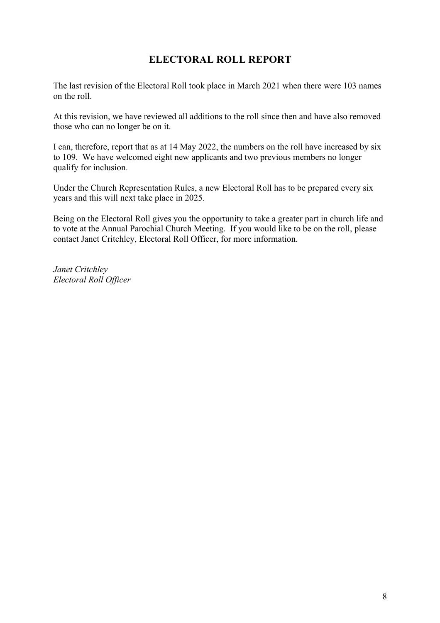## **ELECTORAL ROLL REPORT**

The last revision of the Electoral Roll took place in March 2021 when there were 103 names on the roll.

At this revision, we have reviewed all additions to the roll since then and have also removed those who can no longer be on it.

I can, therefore, report that as at 14 May 2022, the numbers on the roll have increased by six to 109. We have welcomed eight new applicants and two previous members no longer qualify for inclusion.

Under the Church Representation Rules, a new Electoral Roll has to be prepared every six years and this will next take place in 2025.

Being on the Electoral Roll gives you the opportunity to take a greater part in church life and to vote at the Annual Parochial Church Meeting. If you would like to be on the roll, please contact Janet Critchley, Electoral Roll Officer, for more information.

*Janet Critchley Electoral Roll Officer*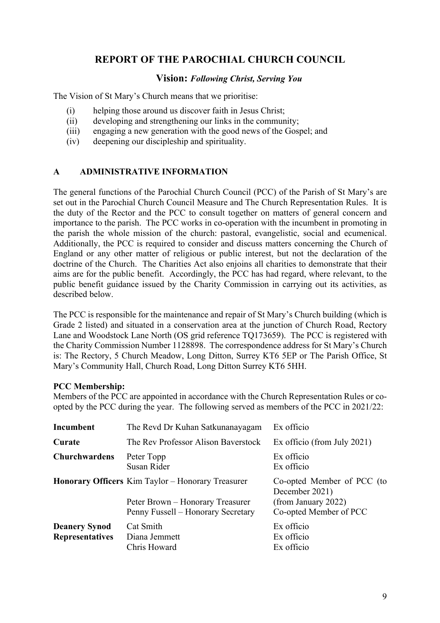## **REPORT OF THE PAROCHIAL CHURCH COUNCIL**

#### **Vision:** *Following Christ, Serving You*

The Vision of St Mary's Church means that we prioritise:

- (i) helping those around us discover faith in Jesus Christ;
- (ii) developing and strengthening our links in the community;
- (iii) engaging a new generation with the good news of the Gospel; and
- (iv) deepening our discipleship and spirituality.

#### **A ADMINISTRATIVE INFORMATION**

The general functions of the Parochial Church Council (PCC) of the Parish of St Mary's are set out in the Parochial Church Council Measure and The Church Representation Rules. It is the duty of the Rector and the PCC to consult together on matters of general concern and importance to the parish. The PCC works in co-operation with the incumbent in promoting in the parish the whole mission of the church: pastoral, evangelistic, social and ecumenical. Additionally, the PCC is required to consider and discuss matters concerning the Church of England or any other matter of religious or public interest, but not the declaration of the doctrine of the Church. The Charities Act also enjoins all charities to demonstrate that their aims are for the public benefit. Accordingly, the PCC has had regard, where relevant, to the public benefit guidance issued by the Charity Commission in carrying out its activities, as described below.

The PCC is responsible for the maintenance and repair of St Mary's Church building (which is Grade 2 listed) and situated in a conservation area at the junction of Church Road, Rectory Lane and Woodstock Lane North (OS grid reference TQ173659). The PCC is registered with the Charity Commission Number 1128898. The correspondence address for St Mary's Church is: The Rectory, 5 Church Meadow, Long Ditton, Surrey KT6 5EP or The Parish Office, St Mary's Community Hall, Church Road, Long Ditton Surrey KT6 5HH.

#### **PCC Membership:**

Members of the PCC are appointed in accordance with the Church Representation Rules or coopted by the PCC during the year. The following served as members of the PCC in 2021/22:

| Incumbent                                      | The Revd Dr Kuhan Satkunanayagam                                                                                                   | Ex officio                                                                                    |
|------------------------------------------------|------------------------------------------------------------------------------------------------------------------------------------|-----------------------------------------------------------------------------------------------|
| Curate                                         | The Rev Professor Alison Baverstock                                                                                                | Ex officio (from July 2021)                                                                   |
| <b>Churchwardens</b>                           | Peter Topp<br>Susan Rider                                                                                                          | Ex officio<br>Ex officio                                                                      |
|                                                | <b>Honorary Officers</b> Kim Taylor – Honorary Treasurer<br>Peter Brown – Honorary Treasurer<br>Penny Fussell – Honorary Secretary | Co-opted Member of PCC (to<br>December 2021)<br>(from January 2022)<br>Co-opted Member of PCC |
| <b>Deanery Synod</b><br><b>Representatives</b> | Cat Smith<br>Diana Jemmett<br>Chris Howard                                                                                         | Ex officio<br>Ex officio<br>Ex officio                                                        |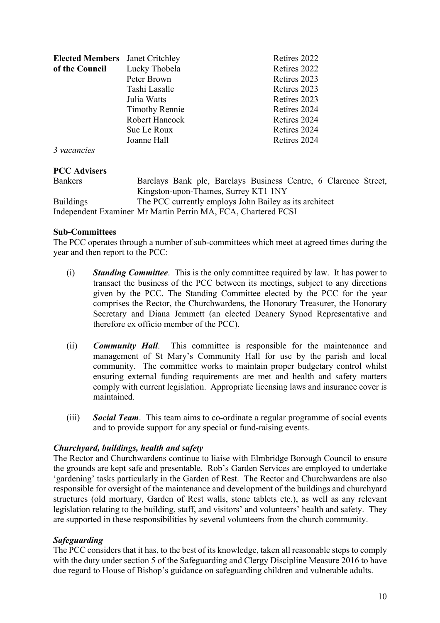| <b>Elected Members</b>  | Janet Critchley       | Retires 2022 |
|-------------------------|-----------------------|--------------|
| of the Council          | Lucky Thobela         | Retires 2022 |
|                         | Peter Brown           | Retires 2023 |
|                         | Tashi Lasalle         | Retires 2023 |
|                         | Julia Watts           | Retires 2023 |
|                         | <b>Timothy Rennie</b> | Retires 2024 |
|                         | Robert Hancock        | Retires 2024 |
|                         | Sue Le Roux           | Retires 2024 |
|                         | Joanne Hall           | Retires 2024 |
| $\frac{2}{3}$ vacancies |                       |              |

*3 vacancies*

#### **PCC Advisers**

| <b>Bankers</b>   | Barclays Bank plc, Barclays Business Centre, 6 Clarence Street, |  |
|------------------|-----------------------------------------------------------------|--|
|                  | Kingston-upon-Thames, Surrey KT1 1NY                            |  |
| <b>Buildings</b> | The PCC currently employs John Bailey as its architect          |  |
|                  | Independent Examiner Mr Martin Perrin MA, FCA, Chartered FCSI   |  |

#### **Sub-Committees**

The PCC operates through a number of sub-committees which meet at agreed times during the year and then report to the PCC:

- (i) *Standing Committee*. This is the only committee required by law. It has power to transact the business of the PCC between its meetings, subject to any directions given by the PCC. The Standing Committee elected by the PCC for the year comprises the Rector, the Churchwardens, the Honorary Treasurer, the Honorary Secretary and Diana Jemmett (an elected Deanery Synod Representative and therefore ex officio member of the PCC).
- (ii) *Community Hall*. This committee is responsible for the maintenance and management of St Mary's Community Hall for use by the parish and local community. The committee works to maintain proper budgetary control whilst ensuring external funding requirements are met and health and safety matters comply with current legislation. Appropriate licensing laws and insurance cover is maintained.
- (iii) *Social Team*. This team aims to co-ordinate a regular programme of social events and to provide support for any special or fund-raising events.

#### *Churchyard, buildings, health and safety*

The Rector and Churchwardens continue to liaise with Elmbridge Borough Council to ensure the grounds are kept safe and presentable. Rob's Garden Services are employed to undertake 'gardening' tasks particularly in the Garden of Rest. The Rector and Churchwardens are also responsible for oversight of the maintenance and development of the buildings and churchyard structures (old mortuary, Garden of Rest walls, stone tablets etc.), as well as any relevant legislation relating to the building, staff, and visitors' and volunteers' health and safety. They are supported in these responsibilities by several volunteers from the church community.

#### *Safeguarding*

The PCC considers that it has, to the best of its knowledge, taken all reasonable steps to comply with the duty under section 5 of the Safeguarding and Clergy Discipline Measure 2016 to have due regard to House of Bishop's guidance on safeguarding children and vulnerable adults.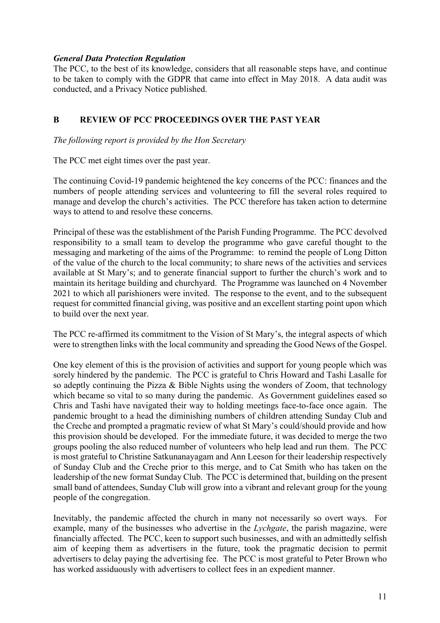#### *General Data Protection Regulation*

The PCC, to the best of its knowledge, considers that all reasonable steps have, and continue to be taken to comply with the GDPR that came into effect in May 2018. A data audit was conducted, and a Privacy Notice published.

#### **B REVIEW OF PCC PROCEEDINGS OVER THE PAST YEAR**

*The following report is provided by the Hon Secretary*

The PCC met eight times over the past year.

The continuing Covid-19 pandemic heightened the key concerns of the PCC: finances and the numbers of people attending services and volunteering to fill the several roles required to manage and develop the church's activities. The PCC therefore has taken action to determine ways to attend to and resolve these concerns.

Principal of these was the establishment of the Parish Funding Programme. The PCC devolved responsibility to a small team to develop the programme who gave careful thought to the messaging and marketing of the aims of the Programme: to remind the people of Long Ditton of the value of the church to the local community; to share news of the activities and services available at St Mary's; and to generate financial support to further the church's work and to maintain its heritage building and churchyard. The Programme was launched on 4 November 2021 to which all parishioners were invited. The response to the event, and to the subsequent request for committed financial giving, was positive and an excellent starting point upon which to build over the next year.

The PCC re-affirmed its commitment to the Vision of St Mary's, the integral aspects of which were to strengthen links with the local community and spreading the Good News of the Gospel.

One key element of this is the provision of activities and support for young people which was sorely hindered by the pandemic. The PCC is grateful to Chris Howard and Tashi Lasalle for so adeptly continuing the Pizza & Bible Nights using the wonders of Zoom, that technology which became so vital to so many during the pandemic. As Government guidelines eased so Chris and Tashi have navigated their way to holding meetings face-to-face once again. The pandemic brought to a head the diminishing numbers of children attending Sunday Club and the Creche and prompted a pragmatic review of what St Mary's could/should provide and how this provision should be developed. For the immediate future, it was decided to merge the two groups pooling the also reduced number of volunteers who help lead and run them. The PCC is most grateful to Christine Satkunanayagam and Ann Leeson for their leadership respectively of Sunday Club and the Creche prior to this merge, and to Cat Smith who has taken on the leadership of the new format Sunday Club. The PCC is determined that, building on the present small band of attendees, Sunday Club will grow into a vibrant and relevant group for the young people of the congregation.

Inevitably, the pandemic affected the church in many not necessarily so overt ways. For example, many of the businesses who advertise in the *Lychgate*, the parish magazine, were financially affected. The PCC, keen to support such businesses, and with an admittedly selfish aim of keeping them as advertisers in the future, took the pragmatic decision to permit advertisers to delay paying the advertising fee. The PCC is most grateful to Peter Brown who has worked assiduously with advertisers to collect fees in an expedient manner.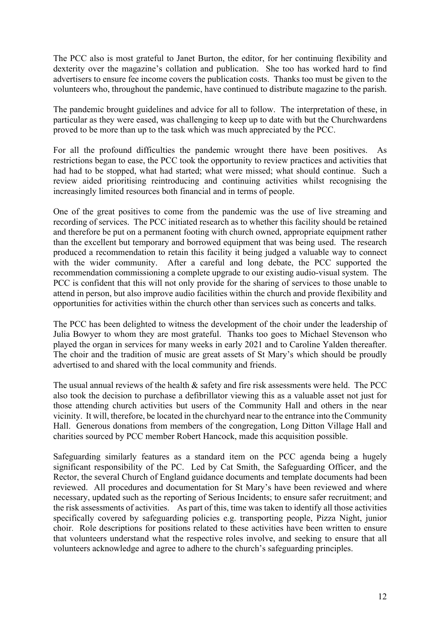The PCC also is most grateful to Janet Burton, the editor, for her continuing flexibility and dexterity over the magazine's collation and publication. She too has worked hard to find advertisers to ensure fee income covers the publication costs. Thanks too must be given to the volunteers who, throughout the pandemic, have continued to distribute magazine to the parish.

The pandemic brought guidelines and advice for all to follow. The interpretation of these, in particular as they were eased, was challenging to keep up to date with but the Churchwardens proved to be more than up to the task which was much appreciated by the PCC.

For all the profound difficulties the pandemic wrought there have been positives. As restrictions began to ease, the PCC took the opportunity to review practices and activities that had had to be stopped, what had started; what were missed; what should continue. Such a review aided prioritising reintroducing and continuing activities whilst recognising the increasingly limited resources both financial and in terms of people.

One of the great positives to come from the pandemic was the use of live streaming and recording of services. The PCC initiated research as to whether this facility should be retained and therefore be put on a permanent footing with church owned, appropriate equipment rather than the excellent but temporary and borrowed equipment that was being used. The research produced a recommendation to retain this facility it being judged a valuable way to connect with the wider community. After a careful and long debate, the PCC supported the recommendation commissioning a complete upgrade to our existing audio-visual system. The PCC is confident that this will not only provide for the sharing of services to those unable to attend in person, but also improve audio facilities within the church and provide flexibility and opportunities for activities within the church other than services such as concerts and talks.

The PCC has been delighted to witness the development of the choir under the leadership of Julia Bowyer to whom they are most grateful. Thanks too goes to Michael Stevenson who played the organ in services for many weeks in early 2021 and to Caroline Yalden thereafter. The choir and the tradition of music are great assets of St Mary's which should be proudly advertised to and shared with the local community and friends.

The usual annual reviews of the health  $\&$  safety and fire risk assessments were held. The PCC also took the decision to purchase a defibrillator viewing this as a valuable asset not just for those attending church activities but users of the Community Hall and others in the near vicinity. It will, therefore, be located in the churchyard near to the entrance into the Community Hall. Generous donations from members of the congregation, Long Ditton Village Hall and charities sourced by PCC member Robert Hancock, made this acquisition possible.

Safeguarding similarly features as a standard item on the PCC agenda being a hugely significant responsibility of the PC. Led by Cat Smith, the Safeguarding Officer, and the Rector, the several Church of England guidance documents and template documents had been reviewed. All procedures and documentation for St Mary's have been reviewed and where necessary, updated such as the reporting of Serious Incidents; to ensure safer recruitment; and the risk assessments of activities. As part of this, time was taken to identify all those activities specifically covered by safeguarding policies e.g. transporting people, Pizza Night, junior choir. Role descriptions for positions related to these activities have been written to ensure that volunteers understand what the respective roles involve, and seeking to ensure that all volunteers acknowledge and agree to adhere to the church's safeguarding principles.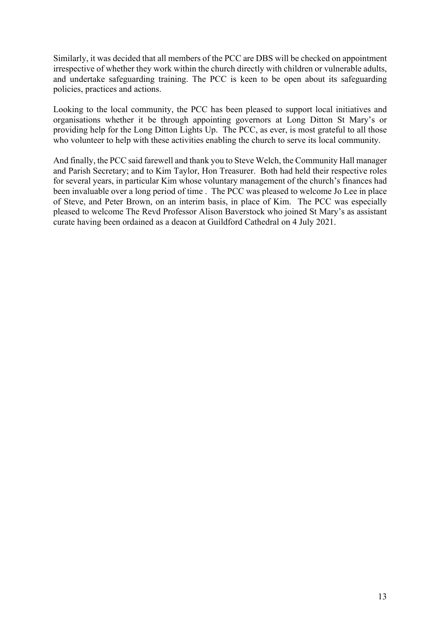Similarly, it was decided that all members of the PCC are DBS will be checked on appointment irrespective of whether they work within the church directly with children or vulnerable adults, and undertake safeguarding training. The PCC is keen to be open about its safeguarding policies, practices and actions.

Looking to the local community, the PCC has been pleased to support local initiatives and organisations whether it be through appointing governors at Long Ditton St Mary's or providing help for the Long Ditton Lights Up. The PCC, as ever, is most grateful to all those who volunteer to help with these activities enabling the church to serve its local community.

And finally, the PCC said farewell and thank you to Steve Welch, the Community Hall manager and Parish Secretary; and to Kim Taylor, Hon Treasurer. Both had held their respective roles for several years, in particular Kim whose voluntary management of the church's finances had been invaluable over a long period of time . The PCC was pleased to welcome Jo Lee in place of Steve, and Peter Brown, on an interim basis, in place of Kim. The PCC was especially pleased to welcome The Revd Professor Alison Baverstock who joined St Mary's as assistant curate having been ordained as a deacon at Guildford Cathedral on 4 July 2021.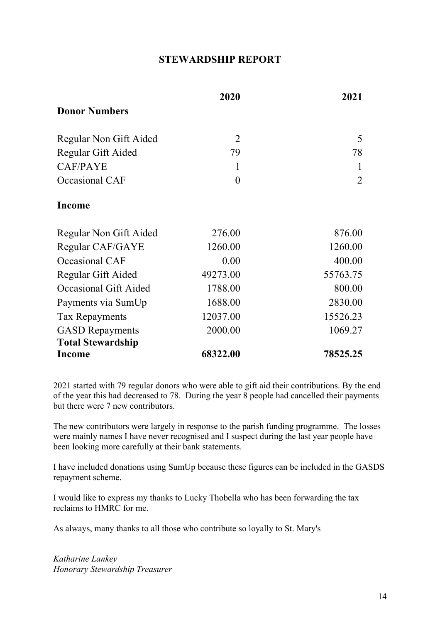### **STEWARDSHIP REPORT**

|                          | 2020           | 2021           |
|--------------------------|----------------|----------------|
| <b>Donor Numbers</b>     |                |                |
| Regular Non Gift Aided   | $\overline{2}$ | 5              |
| Regular Gift Aided       | 79             | 78             |
| <b>CAF/PAYE</b>          | 1              |                |
| Occasional CAF           | $\theta$       | $\overline{2}$ |
| Income                   |                |                |
| Regular Non Gift Aided   | 276.00         | 876.00         |
| Regular CAF/GAYE         | 1260.00        | 1260.00        |
| Occasional CAF           | 0.00           | 400.00         |
| Regular Gift Aided       | 49273.00       | 55763.75       |
| Occasional Gift Aided    | 1788.00        | 800.00         |
| Payments via SumUp       | 1688.00        | 2830.00        |
| <b>Tax Repayments</b>    | 12037.00       | 15526.23       |
| <b>GASD</b> Repayments   | 2000.00        | 1069.27        |
| <b>Total Stewardship</b> |                |                |
| Income                   | 68322.00       | 78525.25       |

2021 started with 79 regular donors who were able to gift aid their contributions. By the end of the year this had decreased to 78. During the year 8 people had cancelled their payments but there were 7 new contributors.

The new contributors were largely in response to the parish funding programme. The losses were mainly names I have never recognised and I suspect during the last year people have been looking more carefully at their bank statements.

I have included donations using SumUp because these figures can be included in the GASDS repayment scheme.

I would like to express my thanks to Lucky Thobella who has been forwarding the tax reclaims to HMRC for me.

As always, many thanks to all those who contribute so loyally to St. Mary's

*Katharine Lankey Honorary Stewardship Treasurer*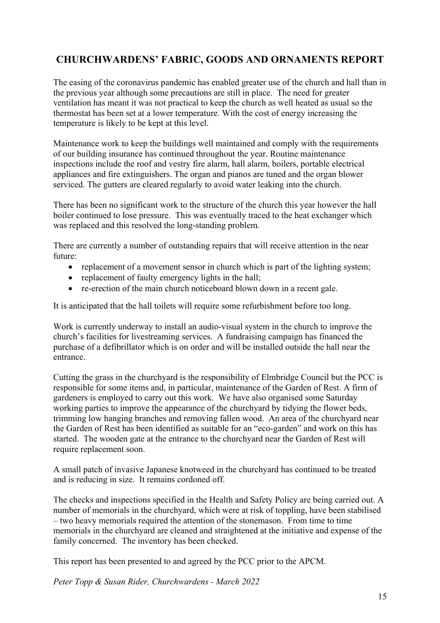## **CHURCHWARDENS' FABRIC, GOODS AND ORNAMENTS REPORT**

The easing of the coronavirus pandemic has enabled greater use of the church and hall than in the previous year although some precautions are still in place. The need for greater ventilation has meant it was not practical to keep the church as well heated as usual so the thermostat has been set at a lower temperature. With the cost of energy increasing the temperature is likely to be kept at this level.

Maintenance work to keep the buildings well maintained and comply with the requirements of our building insurance has continued throughout the year. Routine maintenance inspections include the roof and vestry fire alarm, hall alarm, boilers, portable electrical appliances and fire extinguishers. The organ and pianos are tuned and the organ blower serviced. The gutters are cleared regularly to avoid water leaking into the church.

There has been no significant work to the structure of the church this year however the hall boiler continued to lose pressure. This was eventually traced to the heat exchanger which was replaced and this resolved the long-standing problem.

There are currently a number of outstanding repairs that will receive attention in the near future:

- replacement of a movement sensor in church which is part of the lighting system;
- replacement of faulty emergency lights in the hall;
- re-erection of the main church noticeboard blown down in a recent gale.

It is anticipated that the hall toilets will require some refurbishment before too long.

Work is currently underway to install an audio-visual system in the church to improve the church's facilities for livestreaming services. A fundraising campaign has financed the purchase of a defibrillator which is on order and will be installed outside the hall near the entrance.

Cutting the grass in the churchyard is the responsibility of Elmbridge Council but the PCC is responsible for some items and, in particular, maintenance of the Garden of Rest. A firm of gardeners is employed to carry out this work. We have also organised some Saturday working parties to improve the appearance of the churchyard by tidying the flower beds, trimming low hanging branches and removing fallen wood. An area of the churchyard near the Garden of Rest has been identified as suitable for an "eco-garden" and work on this has started. The wooden gate at the entrance to the churchyard near the Garden of Rest will require replacement soon.

A small patch of invasive Japanese knotweed in the churchyard has continued to be treated and is reducing in size. It remains cordoned off.

The checks and inspections specified in the Health and Safety Policy are being carried out. A number of memorials in the churchyard, which were at risk of toppling, have been stabilised – two heavy memorials required the attention of the stonemason. From time to time memorials in the churchyard are cleaned and straightened at the initiative and expense of the family concerned. The inventory has been checked.

This report has been presented to and agreed by the PCC prior to the APCM.

*Peter Topp & Susan Rider, Churchwardens - March 2022*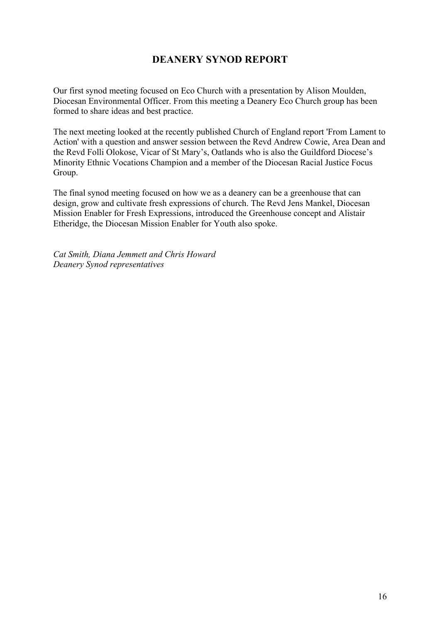## **DEANERY SYNOD REPORT**

Our first synod meeting focused on Eco Church with a presentation by Alison Moulden, Diocesan Environmental Officer. From this meeting a Deanery Eco Church group has been formed to share ideas and best practice.

The next meeting looked at the recently published Church of England report 'From Lament to Action' with a question and answer session between the Revd Andrew Cowie, Area Dean and the Revd Folli Olokose, Vicar of St Mary's, Oatlands who is also the Guildford Diocese's Minority Ethnic Vocations Champion and a member of the Diocesan Racial Justice Focus Group.

The final synod meeting focused on how we as a deanery can be a greenhouse that can design, grow and cultivate fresh expressions of church. The Revd Jens Mankel, Diocesan Mission Enabler for Fresh Expressions, introduced the Greenhouse concept and Alistair Etheridge, the Diocesan Mission Enabler for Youth also spoke.

*Cat Smith, Diana Jemmett and Chris Howard Deanery Synod representatives*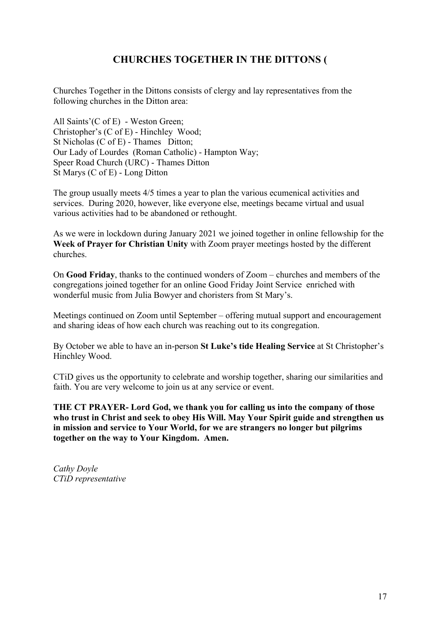## **CHURCHES TOGETHER IN THE DITTONS (**

Churches Together in the Dittons consists of clergy and lay representatives from the following churches in the Ditton area:

All Saints'(C of E) - Weston Green; Christopher's (C of E) - Hinchley Wood; St Nicholas (C of E) - Thames Ditton; Our Lady of Lourdes (Roman Catholic) - Hampton Way; Speer Road Church (URC) - Thames Ditton St Marys (C of E) - Long Ditton

The group usually meets 4/5 times a year to plan the various ecumenical activities and services. During 2020, however, like everyone else, meetings became virtual and usual various activities had to be abandoned or rethought.

As we were in lockdown during January 2021 we joined together in online fellowship for the **Week of Prayer for Christian Unity** with Zoom prayer meetings hosted by the different churches.

On **Good Friday**, thanks to the continued wonders of Zoom – churches and members of the congregations joined together for an online Good Friday Joint Service enriched with wonderful music from Julia Bowyer and choristers from St Mary's.

Meetings continued on Zoom until September – offering mutual support and encouragement and sharing ideas of how each church was reaching out to its congregation.

By October we able to have an in-person **St Luke's tide Healing Service** at St Christopher's Hinchley Wood.

CTiD gives us the opportunity to celebrate and worship together, sharing our similarities and faith. You are very welcome to join us at any service or event.

**THE CT PRAYER- Lord God, we thank you for calling us into the company of those who trust in Christ and seek to obey His Will. May Your Spirit guide and strengthen us in mission and service to Your World, for we are strangers no longer but pilgrims together on the way to Your Kingdom. Amen.** 

*Cathy Doyle CTiD representative*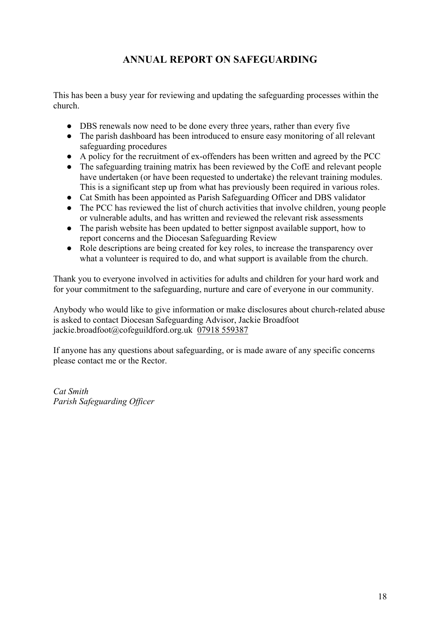## **ANNUAL REPORT ON SAFEGUARDING**

This has been a busy year for reviewing and updating the safeguarding processes within the church.

- DBS renewals now need to be done every three years, rather than every five
- The parish dashboard has been introduced to ensure easy monitoring of all relevant safeguarding procedures
- A policy for the recruitment of ex-offenders has been written and agreed by the PCC
- The safeguarding training matrix has been reviewed by the CofE and relevant people have undertaken (or have been requested to undertake) the relevant training modules. This is a significant step up from what has previously been required in various roles.
- Cat Smith has been appointed as Parish Safeguarding Officer and DBS validator
- The PCC has reviewed the list of church activities that involve children, young people or vulnerable adults, and has written and reviewed the relevant risk assessments
- The parish website has been updated to better signpost available support, how to report concerns and the Diocesan Safeguarding Review
- Role descriptions are being created for key roles, to increase the transparency over what a volunteer is required to do, and what support is available from the church.

Thank you to everyone involved in activities for adults and children for your hard work and for your commitment to the safeguarding, nurture and care of everyone in our community.

Anybody who would like to give information or make disclosures about church-related abuse is asked to contact Diocesan Safeguarding Advisor, Jackie Broadfoot jackie.broadfoot@cofeguildford.org.uk 07918 559387

If anyone has any questions about safeguarding, or is made aware of any specific concerns please contact me or the Rector.

*Cat Smith Parish Safeguarding Officer*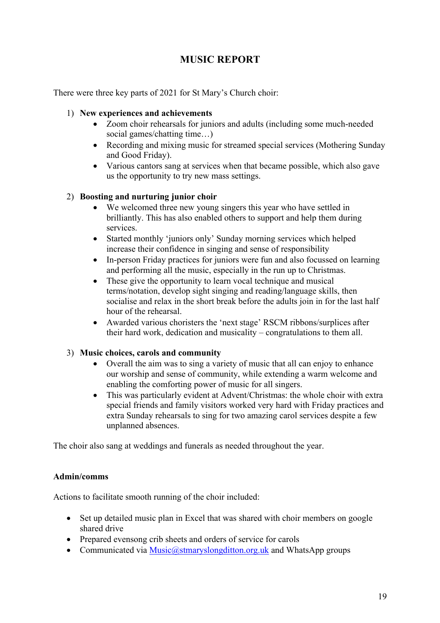## **MUSIC REPORT**

There were three key parts of 2021 for St Mary's Church choir:

#### 1) **New experiences and achievements**

- Zoom choir rehearsals for juniors and adults (including some much-needed social games/chatting time…)
- Recording and mixing music for streamed special services (Mothering Sunday and Good Friday).
- Various cantors sang at services when that became possible, which also gave us the opportunity to try new mass settings.

#### 2) **Boosting and nurturing junior choir**

- We welcomed three new young singers this year who have settled in brilliantly. This has also enabled others to support and help them during services.
- Started monthly 'juniors only' Sunday morning services which helped increase their confidence in singing and sense of responsibility
- In-person Friday practices for juniors were fun and also focussed on learning and performing all the music, especially in the run up to Christmas.
- These give the opportunity to learn vocal technique and musical terms/notation, develop sight singing and reading/language skills, then socialise and relax in the short break before the adults join in for the last half hour of the rehearsal.
- Awarded various choristers the 'next stage' RSCM ribbons/surplices after their hard work, dedication and musicality – congratulations to them all.

#### 3) **Music choices, carols and community**

- Overall the aim was to sing a variety of music that all can enjoy to enhance our worship and sense of community, while extending a warm welcome and enabling the comforting power of music for all singers.
- This was particularly evident at Advent/Christmas: the whole choir with extra special friends and family visitors worked very hard with Friday practices and extra Sunday rehearsals to sing for two amazing carol services despite a few unplanned absences.

The choir also sang at weddings and funerals as needed throughout the year.

#### **Admin/comms**

Actions to facilitate smooth running of the choir included:

- Set up detailed music plan in Excel that was shared with choir members on google shared drive
- Prepared evensong crib sheets and orders of service for carols
- Communicated via  $Music@stmaryslongdition.org.uk$  and WhatsApp groups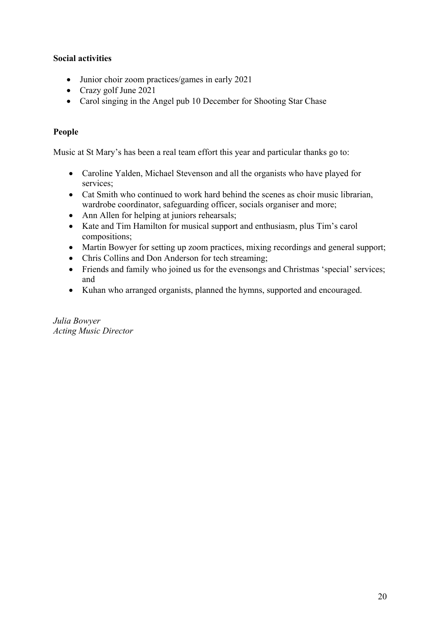#### **Social activities**

- Junior choir zoom practices/games in early 2021
- Crazy golf June 2021
- Carol singing in the Angel pub 10 December for Shooting Star Chase

#### **People**

Music at St Mary's has been a real team effort this year and particular thanks go to:

- Caroline Yalden, Michael Stevenson and all the organists who have played for services;
- Cat Smith who continued to work hard behind the scenes as choir music librarian, wardrobe coordinator, safeguarding officer, socials organiser and more;
- Ann Allen for helping at juniors rehearsals;
- Kate and Tim Hamilton for musical support and enthusiasm, plus Tim's carol compositions;
- Martin Bowyer for setting up zoom practices, mixing recordings and general support;
- Chris Collins and Don Anderson for tech streaming;
- Friends and family who joined us for the evensongs and Christmas 'special' services; and
- Kuhan who arranged organists, planned the hymns, supported and encouraged.

*Julia Bowyer Acting Music Director*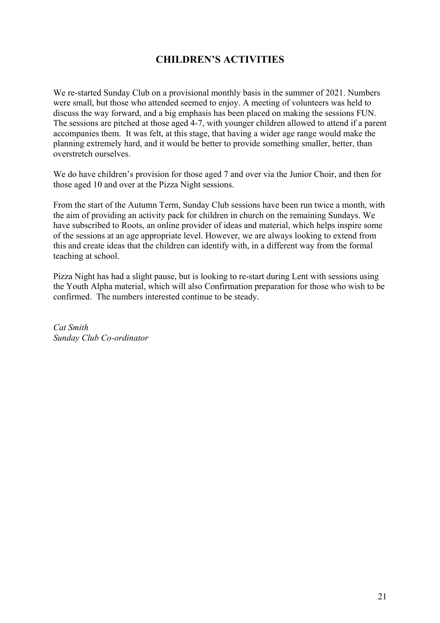## **CHILDREN'S ACTIVITIES**

We re-started Sunday Club on a provisional monthly basis in the summer of 2021. Numbers were small, but those who attended seemed to enjoy. A meeting of volunteers was held to discuss the way forward, and a big emphasis has been placed on making the sessions FUN. The sessions are pitched at those aged 4-7, with younger children allowed to attend if a parent accompanies them. It was felt, at this stage, that having a wider age range would make the planning extremely hard, and it would be better to provide something smaller, better, than overstretch ourselves.

We do have children's provision for those aged 7 and over via the Junior Choir, and then for those aged 10 and over at the Pizza Night sessions.

From the start of the Autumn Term, Sunday Club sessions have been run twice a month, with the aim of providing an activity pack for children in church on the remaining Sundays. We have subscribed to Roots, an online provider of ideas and material, which helps inspire some of the sessions at an age appropriate level. However, we are always looking to extend from this and create ideas that the children can identify with, in a different way from the formal teaching at school.

Pizza Night has had a slight pause, but is looking to re-start during Lent with sessions using the Youth Alpha material, which will also Confirmation preparation for those who wish to be confirmed. The numbers interested continue to be steady.

*Cat Smith Sunday Club Co-ordinator*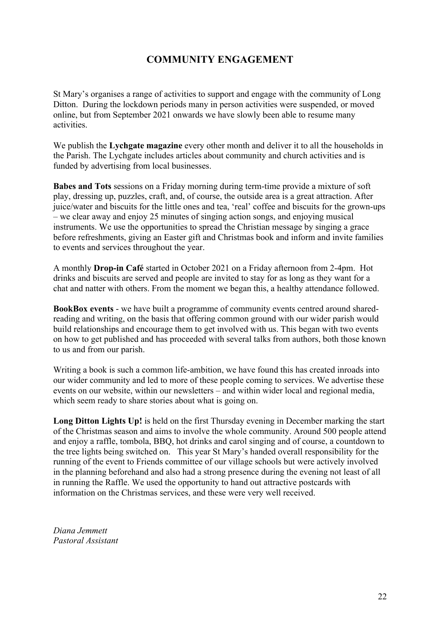## **COMMUNITY ENGAGEMENT**

St Mary's organises a range of activities to support and engage with the community of Long Ditton. During the lockdown periods many in person activities were suspended, or moved online, but from September 2021 onwards we have slowly been able to resume many activities.

We publish the **Lychgate magazine** every other month and deliver it to all the households in the Parish. The Lychgate includes articles about community and church activities and is funded by advertising from local businesses.

**Babes and Tots** sessions on a Friday morning during term-time provide a mixture of soft play, dressing up, puzzles, craft, and, of course, the outside area is a great attraction. After juice/water and biscuits for the little ones and tea, 'real' coffee and biscuits for the grown-ups – we clear away and enjoy 25 minutes of singing action songs, and enjoying musical instruments. We use the opportunities to spread the Christian message by singing a grace before refreshments, giving an Easter gift and Christmas book and inform and invite families to events and services throughout the year.

A monthly **Drop-in Café** started in October 2021 on a Friday afternoon from 2-4pm. Hot drinks and biscuits are served and people are invited to stay for as long as they want for a chat and natter with others. From the moment we began this, a healthy attendance followed.

**BookBox events** - we have built a programme of community events centred around sharedreading and writing, on the basis that offering common ground with our wider parish would build relationships and encourage them to get involved with us. This began with two events on how to get published and has proceeded with several talks from authors, both those known to us and from our parish.

Writing a book is such a common life-ambition, we have found this has created inroads into our wider community and led to more of these people coming to services. We advertise these events on our website, within our newsletters – and within wider local and regional media, which seem ready to share stories about what is going on.

**Long Ditton Lights Up!** is held on the first Thursday evening in December marking the start of the Christmas season and aims to involve the whole community. Around 500 people attend and enjoy a raffle, tombola, BBQ, hot drinks and carol singing and of course, a countdown to the tree lights being switched on. This year St Mary's handed overall responsibility for the running of the event to Friends committee of our village schools but were actively involved in the planning beforehand and also had a strong presence during the evening not least of all in running the Raffle. We used the opportunity to hand out attractive postcards with information on the Christmas services, and these were very well received.

*Diana Jemmett Pastoral Assistant*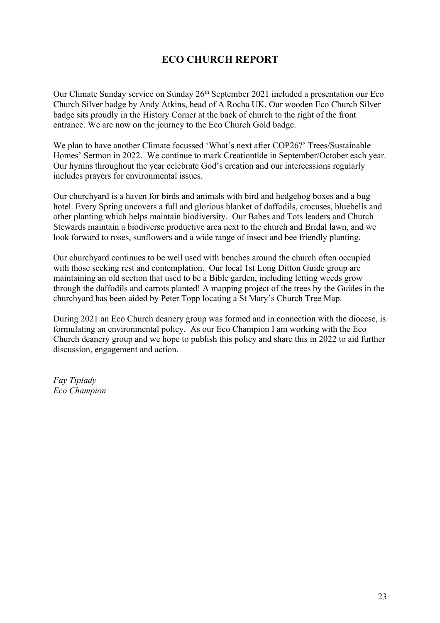## **ECO CHURCH REPORT**

Our Climate Sunday service on Sunday 26<sup>th</sup> September 2021 included a presentation our Eco Church Silver badge by Andy Atkins, head of A Rocha UK. Our wooden Eco Church Silver badge sits proudly in the History Corner at the back of church to the right of the front entrance. We are now on the journey to the Eco Church Gold badge.

We plan to have another Climate focussed 'What's next after COP26?' Trees/Sustainable Homes' Sermon in 2022. We continue to mark Creationtide in September/October each year. Our hymns throughout the year celebrate God's creation and our intercessions regularly includes prayers for environmental issues.

Our churchyard is a haven for birds and animals with bird and hedgehog boxes and a bug hotel. Every Spring uncovers a full and glorious blanket of daffodils, crocuses, bluebells and other planting which helps maintain biodiversity. Our Babes and Tots leaders and Church Stewards maintain a biodiverse productive area next to the church and Bridal lawn, and we look forward to roses, sunflowers and a wide range of insect and bee friendly planting.

Our churchyard continues to be well used with benches around the church often occupied with those seeking rest and contemplation. Our local 1st Long Ditton Guide group are maintaining an old section that used to be a Bible garden, including letting weeds grow through the daffodils and carrots planted! A mapping project of the trees by the Guides in the churchyard has been aided by Peter Topp locating a St Mary's Church Tree Map.

During 2021 an Eco Church deanery group was formed and in connection with the diocese, is formulating an environmental policy. As our Eco Champion I am working with the Eco Church deanery group and we hope to publish this policy and share this in 2022 to aid further discussion, engagement and action.

*Fay Tiplady Eco Champion*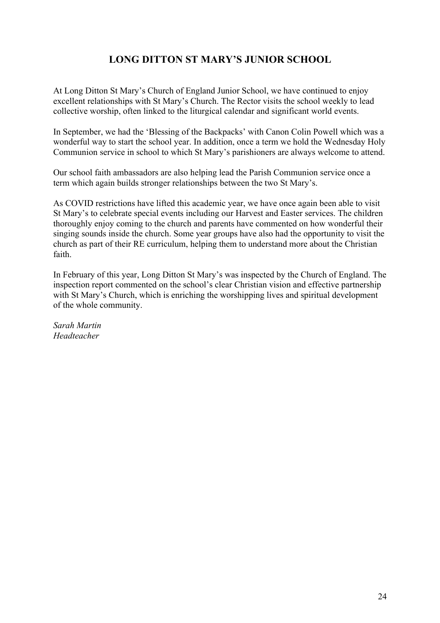## **LONG DITTON ST MARY'S JUNIOR SCHOOL**

At Long Ditton St Mary's Church of England Junior School, we have continued to enjoy excellent relationships with St Mary's Church. The Rector visits the school weekly to lead collective worship, often linked to the liturgical calendar and significant world events.

In September, we had the 'Blessing of the Backpacks' with Canon Colin Powell which was a wonderful way to start the school year. In addition, once a term we hold the Wednesday Holy Communion service in school to which St Mary's parishioners are always welcome to attend.

Our school faith ambassadors are also helping lead the Parish Communion service once a term which again builds stronger relationships between the two St Mary's.

As COVID restrictions have lifted this academic year, we have once again been able to visit St Mary's to celebrate special events including our Harvest and Easter services. The children thoroughly enjoy coming to the church and parents have commented on how wonderful their singing sounds inside the church. Some year groups have also had the opportunity to visit the church as part of their RE curriculum, helping them to understand more about the Christian faith.

In February of this year, Long Ditton St Mary's was inspected by the Church of England. The inspection report commented on the school's clear Christian vision and effective partnership with St Mary's Church, which is enriching the worshipping lives and spiritual development of the whole community.

*Sarah Martin Headteacher*